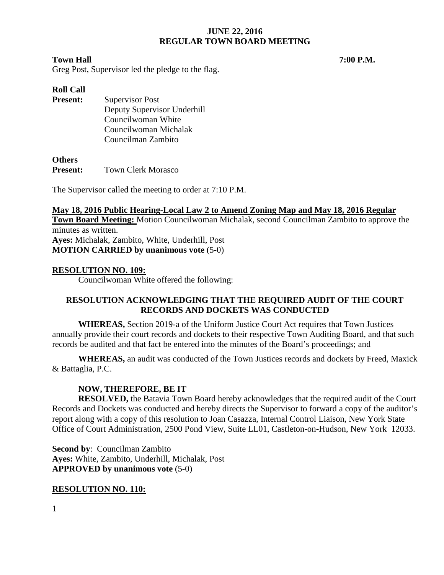### **Town Hall 7:00 P.M.**

Greg Post, Supervisor led the pledge to the flag.

## **Roll Call**

| <b>Present:</b> | Supervisor Post             |
|-----------------|-----------------------------|
|                 | Deputy Supervisor Underhill |
|                 | Councilwoman White          |
|                 | Councilwoman Michalak       |
|                 | Councilman Zambito          |

#### **Others**

**Present:** Town Clerk Morasco

The Supervisor called the meeting to order at 7:10 P.M.

**May 18, 2016 Public Hearing-Local Law 2 to Amend Zoning Map and May 18, 2016 Regular Town Board Meeting:** Motion Councilwoman Michalak, second Councilman Zambito to approve the minutes as written. **Ayes:** Michalak, Zambito, White, Underhill, Post **MOTION CARRIED by unanimous vote** (5-0)

## **RESOLUTION NO. 109:**

Councilwoman White offered the following:

# **RESOLUTION ACKNOWLEDGING THAT THE REQUIRED AUDIT OF THE COURT RECORDS AND DOCKETS WAS CONDUCTED**

**WHEREAS,** Section 2019-a of the Uniform Justice Court Act requires that Town Justices annually provide their court records and dockets to their respective Town Auditing Board, and that such records be audited and that fact be entered into the minutes of the Board's proceedings; and

**WHEREAS,** an audit was conducted of the Town Justices records and dockets by Freed, Maxick & Battaglia, P.C.

# **NOW, THEREFORE, BE IT**

**RESOLVED,** the Batavia Town Board hereby acknowledges that the required audit of the Court Records and Dockets was conducted and hereby directs the Supervisor to forward a copy of the auditor's report along with a copy of this resolution to Joan Casazza, Internal Control Liaison, New York State Office of Court Administration, 2500 Pond View, Suite LL01, Castleton-on-Hudson, New York 12033.

**Second by**: Councilman Zambito **Ayes:** White, Zambito, Underhill, Michalak, Post **APPROVED by unanimous vote** (5-0)

## **RESOLUTION NO. 110:**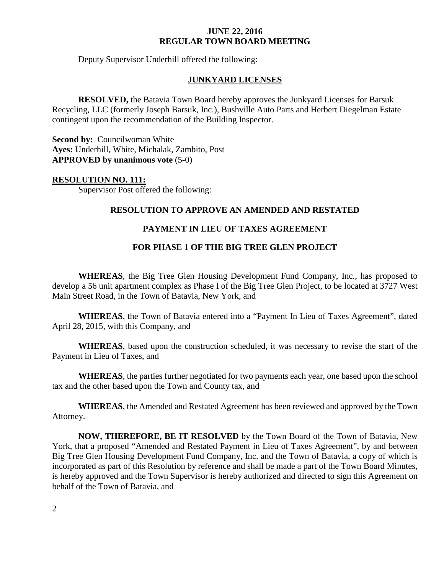Deputy Supervisor Underhill offered the following:

#### **JUNKYARD LICENSES**

**RESOLVED,** the Batavia Town Board hereby approves the Junkyard Licenses for Barsuk Recycling, LLC (formerly Joseph Barsuk, Inc.), Bushville Auto Parts and Herbert Diegelman Estate contingent upon the recommendation of the Building Inspector.

**Second by: Councilwoman White Ayes:** Underhill, White, Michalak, Zambito, Post **APPROVED by unanimous vote** (5-0)

#### **RESOLUTION NO. 111:**

Supervisor Post offered the following:

#### **RESOLUTION TO APPROVE AN AMENDED AND RESTATED**

#### **PAYMENT IN LIEU OF TAXES AGREEMENT**

## **FOR PHASE 1 OF THE BIG TREE GLEN PROJECT**

**WHEREAS**, the Big Tree Glen Housing Development Fund Company, Inc., has proposed to develop a 56 unit apartment complex as Phase I of the Big Tree Glen Project, to be located at 3727 West Main Street Road, in the Town of Batavia, New York, and

**WHEREAS**, the Town of Batavia entered into a "Payment In Lieu of Taxes Agreement", dated April 28, 2015, with this Company, and

**WHEREAS**, based upon the construction scheduled, it was necessary to revise the start of the Payment in Lieu of Taxes, and

**WHEREAS**, the parties further negotiated for two payments each year, one based upon the school tax and the other based upon the Town and County tax, and

**WHEREAS**, the Amended and Restated Agreement has been reviewed and approved by the Town Attorney.

**NOW, THEREFORE, BE IT RESOLVED** by the Town Board of the Town of Batavia, New York, that a proposed "Amended and Restated Payment in Lieu of Taxes Agreement", by and between Big Tree Glen Housing Development Fund Company, Inc. and the Town of Batavia, a copy of which is incorporated as part of this Resolution by reference and shall be made a part of the Town Board Minutes, is hereby approved and the Town Supervisor is hereby authorized and directed to sign this Agreement on behalf of the Town of Batavia, and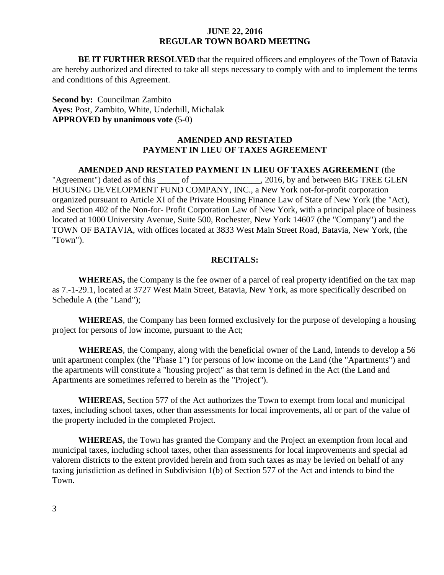**BE IT FURTHER RESOLVED** that the required officers and employees of the Town of Batavia are hereby authorized and directed to take all steps necessary to comply with and to implement the terms and conditions of this Agreement.

**Second by:** Councilman Zambito **Ayes:** Post, Zambito, White, Underhill, Michalak **APPROVED by unanimous vote** (5-0)

## **AMENDED AND RESTATED PAYMENT IN LIEU OF TAXES AGREEMENT**

#### **AMENDED AND RESTATED PAYMENT IN LIEU OF TAXES AGREEMENT** (the

"Agreement") dated as of this \_\_\_\_\_ of \_\_\_\_\_\_\_\_\_\_\_\_\_\_\_, 2016, by and between BIG TREE GLEN HOUSING DEVELOPMENT FUND COMPANY, INC., a New York not-for-profit corporation organized pursuant to Article XI of the Private Housing Finance Law of State of New York (the "Act), and Section 402 of the Non-for- Profit Corporation Law of New York, with a principal place of business located at 1000 University Avenue, Suite 500, Rochester, New York 14607 (the "Company") and the TOWN OF BATAVIA, with offices located at 3833 West Main Street Road, Batavia, New York, (the ''Town").

## **RECITALS:**

**WHEREAS,** the Company is the fee owner of a parcel of real property identified on the tax map as 7.-1-29.1, located at 3727 West Main Street, Batavia, New York, as more specifically described on Schedule A (the "Land");

**WHEREAS**, the Company has been formed exclusively for the purpose of developing a housing project for persons of low income, pursuant to the Act;

**WHEREAS**, the Company, along with the beneficial owner of the Land, intends to develop a 56 unit apartment complex (the "Phase 1") for persons of low income on the Land (the "Apartments") and the apartments will constitute a "housing project" as that term is defined in the Act (the Land and Apartments are sometimes referred to herein as the "Project'').

**WHEREAS,** Section 577 of the Act authorizes the Town to exempt from local and municipal taxes, including school taxes, other than assessments for local improvements, all or part of the value of the property included in the completed Project.

**WHEREAS,** the Town has granted the Company and the Project an exemption from local and municipal taxes, including school taxes, other than assessments for local improvements and special ad valorem districts to the extent provided herein and from such taxes as may be levied on behalf of any taxing jurisdiction as defined in Subdivision 1(b) of Section 577 of the Act and intends to bind the Town.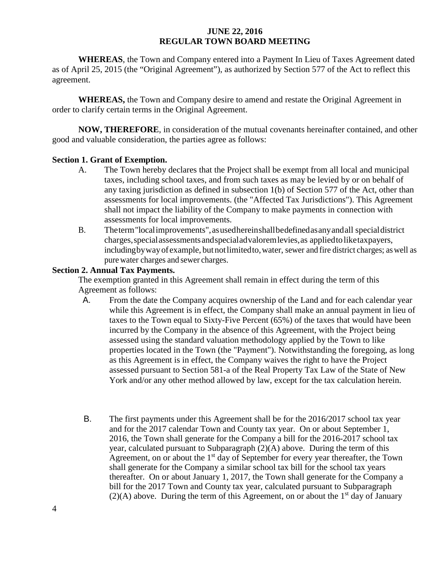**WHEREAS**, the Town and Company entered into a Payment In Lieu of Taxes Agreement dated as of April 25, 2015 (the "Original Agreement"), as authorized by Section 577 of the Act to reflect this agreement.

**WHEREAS,** the Town and Company desire to amend and restate the Original Agreement in order to clarify certain terms in the Original Agreement.

**NOW, THEREFORE**, in consideration of the mutual covenants hereinafter contained, and other good and valuable consideration, the parties agree as follows:

## **Section 1. Grant of Exemption.**

- A. The Town hereby declares that the Project shall be exempt from all local and municipal taxes, including school taxes, and from such taxes as may be levied by or on behalf of any taxing jurisdiction as defined in subsection 1(b) of Section 577 of the Act, other than assessments for local improvements. (the "Affected Tax Jurisdictions"). This Agreement shall not impact the liability of the Company to make payments in connection with assessments for local improvements.
- B. Theterm"localimprovements",asusedhereinshallbedefinedasanyandall specialdistrict charges,specialassessmentsandspecialadvaloremlevies,as appliedtoliketaxpayers, includingbywayofexample, butnotlimitedto,water, sewer and fire district charges; aswell as purewater charges and sewer charges.

## **Section 2. Annual Tax Payments.**

The exemption granted in this Agreement shall remain in effect during the term of this Agreement as follows:

- A. From the date the Company acquires ownership of the Land and for each calendar year while this Agreement is in effect, the Company shall make an annual payment in lieu of taxes to the Town equal to Sixty-Five Percent (65%) of the taxes that would have been incurred by the Company in the absence of this Agreement, with the Project being assessed using the standard valuation methodology applied by the Town to like properties located in the Town (the "Payment"). Notwithstanding the foregoing, as long as this Agreement is in effect, the Company waives the right to have the Project assessed pursuant to Section 581-a of the Real Property Tax Law of the State of New York and/or any other method allowed by law, except for the tax calculation herein.
- B. The first payments under this Agreement shall be for the 2016/2017 school tax year and for the 2017 calendar Town and County tax year. On or about September 1, 2016, the Town shall generate for the Company a bill for the 2016-2017 school tax year, calculated pursuant to Subparagraph (2)(A) above. During the term of this Agreement, on or about the  $1<sup>st</sup>$  day of September for every year thereafter, the Town shall generate for the Company a similar school tax bill for the school tax years thereafter. On or about January 1, 2017, the Town shall generate for the Company a bill for the 2017 Town and County tax year, calculated pursuant to Subparagraph  $(2)(A)$  above. During the term of this Agreement, on or about the 1<sup>st</sup> day of January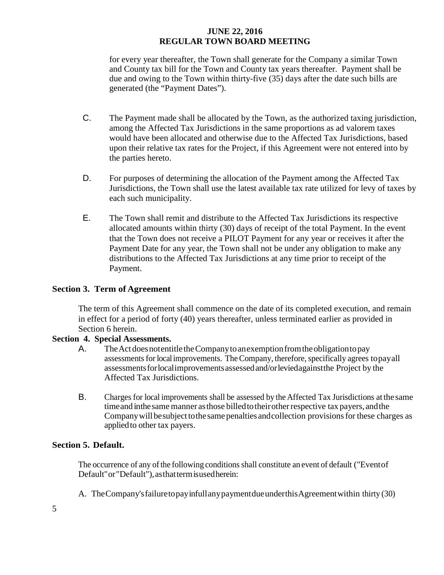for every year thereafter, the Town shall generate for the Company a similar Town and County tax bill for the Town and County tax years thereafter. Payment shall be due and owing to the Town within thirty-five (35) days after the date such bills are generated (the "Payment Dates").

- C. The Payment made shall be allocated by the Town, as the authorized taxing jurisdiction, among the Affected Tax Jurisdictions in the same proportions as ad valorem taxes would have been allocated and otherwise due to the Affected Tax Jurisdictions, based upon their relative tax rates for the Project, if this Agreement were not entered into by the parties hereto.
- D. For purposes of determining the allocation of the Payment among the Affected Tax Jurisdictions, the Town shall use the latest available tax rate utilized for levy of taxes by each such municipality.
- E. The Town shall remit and distribute to the Affected Tax Jurisdictions its respective allocated amounts within thirty (30) days of receipt of the total Payment. In the event that the Town does not receive a PILOT Payment for any year or receives it after the Payment Date for any year, the Town shall not be under any obligation to make any distributions to the Affected Tax Jurisdictions at any time prior to receipt of the Payment.

## **Section 3. Term of Agreement**

The term of this Agreement shall commence on the date of its completed execution, and remain in effect for a period of forty (40) years thereafter, unless terminated earlier as provided in Section 6 herein.

## **Section 4. Special Assessments.**

- A. The Act does not entitle the Company to an exemption from the obligation to pay assessments for local improvements. The Company, therefore, specifically agrees to payall assessmentsforlocalimprovementsassessedand/orleviedagainstthe Project by the Affected Tax Jurisdictions.
- B. Charges for local improvements shall be assessed by the Affected Tax Jurisdictions atthe same time and in the same manner as those billed to their other respective tax payers, and the Company will be subject to the same penalties and collection provisions for these charges as appliedto other tax payers.

## **Section 5. Default.**

The occurrence of any of the following conditions shall constitute an event of default ("Event of Default" or "Default"), as that term is used herein:

A. TheCompany'sfailuretopayinfullanypaymentdueunderthisAgreementwithin thirty (30)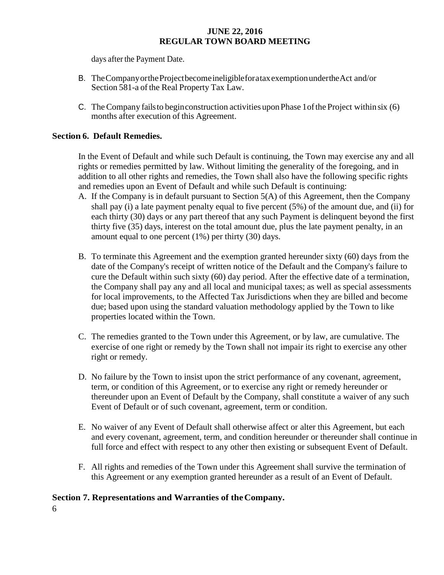days after the Payment Date.

- B. TheCompanyortheProjectbecomeineligibleforataxexemptionundertheAct and/or Section 581-a of the Real Property Tax Law.
- C. TheCompany failsto beginconstruction activities uponPhase 1ofthe Project within six (6) months after execution of this Agreement.

## **Section 6. Default Remedies.**

In the Event of Default and while such Default is continuing, the Town may exercise any and all rights or remedies permitted by law. Without limiting the generality of the foregoing, and in addition to all other rights and remedies, the Town shall also have the following specific rights and remedies upon an Event of Default and while such Default is continuing:

- A. If the Company is in default pursuant to Section 5(A) of this Agreement, then the Company shall pay (i) a late payment penalty equal to five percent (5%) of the amount due, and (ii) for each thirty (30) days or any part thereof that any such Payment is delinquent beyond the first thirty five (35) days, interest on the total amount due, plus the late payment penalty, in an amount equal to one percent (1%) per thirty (30) days.
- B. To terminate this Agreement and the exemption granted hereunder sixty (60) days from the date of the Company's receipt of written notice of the Default and the Company's failure to cure the Default within such sixty (60) day period. After the effective date of a termination, the Company shall pay any and all local and municipal taxes; as well as special assessments for local improvements, to the Affected Tax Jurisdictions when they are billed and become due; based upon using the standard valuation methodology applied by the Town to like properties located within the Town.
- C. The remedies granted to the Town under this Agreement, or by law, are cumulative. The exercise of one right or remedy by the Town shall not impair its right to exercise any other right or remedy.
- D. No failure by the Town to insist upon the strict performance of any covenant, agreement, term, or condition of this Agreement, or to exercise any right or remedy hereunder or thereunder upon an Event of Default by the Company, shall constitute a waiver of any such Event of Default or of such covenant, agreement, term or condition.
- E. No waiver of any Event of Default shall otherwise affect or alter this Agreement, but each and every covenant, agreement, term, and condition hereunder or thereunder shall continue in full force and effect with respect to any other then existing or subsequent Event of Default.
- F. All rights and remedies of the Town under this Agreement shall survive the termination of this Agreement or any exemption granted hereunder as a result of an Event of Default.

# **Section 7. Representations and Warranties of theCompany.**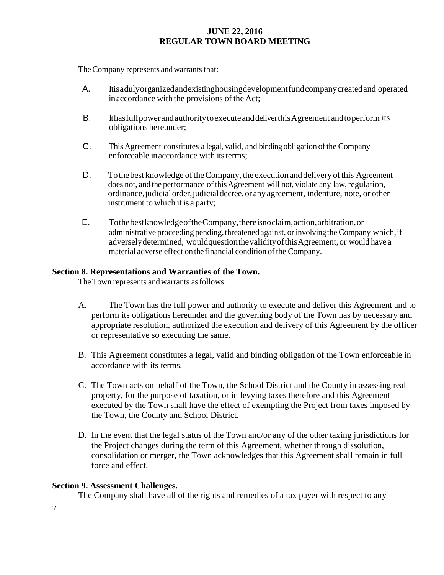The Company represents and warrants that:

- A. Itisadulyorganizedandexistinghousingdevelopmentfundcompanycreatedand operated inaccordance with the provisions of the Act;
- B. Ithas full power and authority to execute and deliver this Agreement and to perform its obligations hereunder;
- C. This Agreement constitutes a legal, valid, and binding obligation of the Company enforceable in accordance with its terms:
- D. To the best knowledge of the Company, the execution and delivery of this Agreement does not, and the performance of this Agreement will not, violate any law, regulation, ordinance,judicialorder,judicialdecree,or anyagreement, indenture, note, or other instrument to which it is a party;
- E. TothebestknowledgeoftheCompany,thereisnoclaim,action,arbitration,or administrative proceeding pending, threatened against, or involving the Company which, if adverselydetermined, wouldquestionthevalidityofthisAgreement,or would have a material adverse effect on the financial condition of the Company.

## **Section 8. Representations and Warranties of the Town.**

The Town represents and warrants as follows:

- A. The Town has the full power and authority to execute and deliver this Agreement and to perform its obligations hereunder and the governing body of the Town has by necessary and appropriate resolution, authorized the execution and delivery of this Agreement by the officer or representative so executing the same.
- B. This Agreement constitutes a legal, valid and binding obligation of the Town enforceable in accordance with its terms.
- C. The Town acts on behalf of the Town, the School District and the County in assessing real property, for the purpose of taxation, or in levying taxes therefore and this Agreement executed by the Town shall have the effect of exempting the Project from taxes imposed by the Town, the County and School District.
- D. In the event that the legal status of the Town and/or any of the other taxing jurisdictions for the Project changes during the term of this Agreement, whether through dissolution, consolidation or merger, the Town acknowledges that this Agreement shall remain in full force and effect.

## **Section 9. Assessment Challenges.**

The Company shall have all of the rights and remedies of a tax payer with respect to any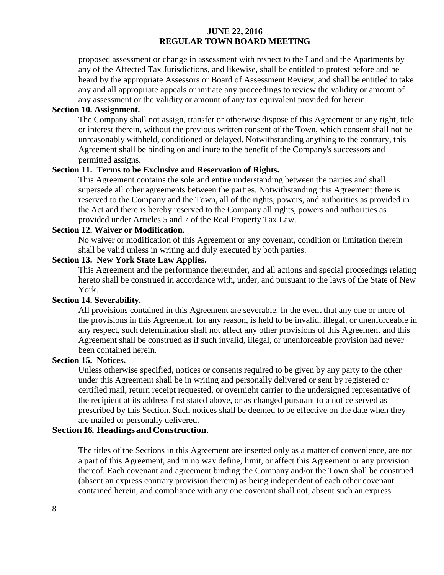proposed assessment or change in assessment with respect to the Land and the Apartments by any of the Affected Tax Jurisdictions, and likewise, shall be entitled to protest before and be heard by the appropriate Assessors or Board of Assessment Review, and shall be entitled to take any and all appropriate appeals or initiate any proceedings to review the validity or amount of any assessment or the validity or amount of any tax equivalent provided for herein.

#### **Section 10. Assignment.**

The Company shall not assign, transfer or otherwise dispose of this Agreement or any right, title or interest therein, without the previous written consent of the Town, which consent shall not be unreasonably withheld, conditioned or delayed. Notwithstanding anything to the contrary, this Agreement shall be binding on and inure to the benefit of the Company's successors and permitted assigns.

#### **Section 11. Terms to be Exclusive and Reservation of Rights.**

This Agreement contains the sole and entire understanding between the parties and shall supersede all other agreements between the parties. Notwithstanding this Agreement there is reserved to the Company and the Town, all of the rights, powers, and authorities as provided in the Act and there is hereby reserved to the Company all rights, powers and authorities as provided under Articles 5 and 7 of the Real Property Tax Law.

#### **Section 12. Waiver or Modification.**

No waiver or modification of this Agreement or any covenant, condition or limitation therein shall be valid unless in writing and duly executed by both parties.

# **Section 13. New York State Law Applies.**

This Agreement and the performance thereunder, and all actions and special proceedings relating hereto shall be construed in accordance with, under, and pursuant to the laws of the State of New York.

## **Section 14. Severability.**

All provisions contained in this Agreement are severable. In the event that any one or more of the provisions in this Agreement, for any reason, is held to be invalid, illegal, or unenforceable in any respect, such determination shall not affect any other provisions of this Agreement and this Agreement shall be construed as if such invalid, illegal, or unenforceable provision had never been contained herein.

#### **Section 15. Notices.**

Unless otherwise specified, notices or consents required to be given by any party to the other under this Agreement shall be in writing and personally delivered or sent by registered or certified mail, return receipt requested, or overnight carrier to the undersigned representative of the recipient at its address first stated above, or as changed pursuant to a notice served as prescribed by this Section. Such notices shall be deemed to be effective on the date when they are mailed or personally delivered.

#### **Section 16. Headingsand Construction**.

The titles of the Sections in this Agreement are inserted only as a matter of convenience, are not a part of this Agreement, and in no way define, limit, or affect this Agreement or any provision thereof. Each covenant and agreement binding the Company and/or the Town shall be construed (absent an express contrary provision therein) as being independent of each other covenant contained herein, and compliance with any one covenant shall not, absent such an express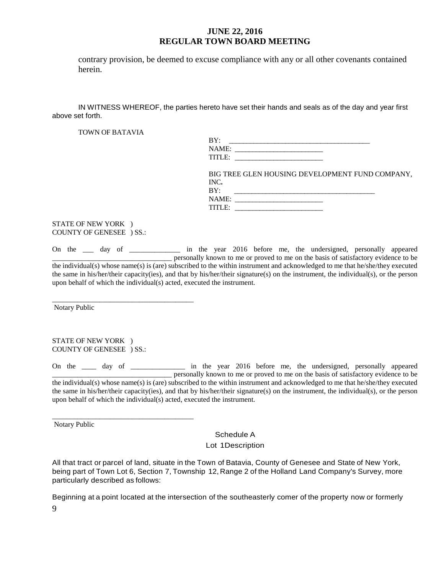contrary provision, be deemed to excuse compliance with any or all other covenants contained herein.

IN WITNESS WHEREOF, the parties hereto have set their hands and seals as of the day and year first above set forth.

TOWN OF BATAVIA

| BY:                |  |
|--------------------|--|
| NAME:              |  |
| TITLE <sup>.</sup> |  |

BIG TREE GLEN HOUSING DEVELOPMENT FUND COMPANY, INC**.**  BY: \_\_\_\_\_\_\_\_\_\_\_\_\_\_\_\_\_\_\_\_\_\_\_\_\_\_\_\_\_\_\_\_\_\_\_\_\_\_\_\_

| . נים  |  |
|--------|--|
| NAME:  |  |
| TITLE· |  |
|        |  |

STATE OF NEW YORK ) COUNTY OF GENESEE ) SS.:

On the \_\_\_ day of \_\_\_\_\_\_\_\_\_\_\_\_\_ in the year 2016 before me, the undersigned, personally appeared \_\_\_\_\_\_\_\_\_\_\_\_\_\_\_\_\_\_\_\_\_\_\_\_\_\_\_\_\_\_\_\_\_ personally known to me or proved to me on the basis of satisfactory evidence to be the individual(s) whose name(s) is (are) subscribed to the within instrument and acknowledged to me that he/she/they executed the same in his/her/their capacity(ies), and that by his/her/their signature(s) on the instrument, the individual(s), or the person upon behalf of which the individual(s) acted, executed the instrument.

\_\_\_\_\_\_\_\_\_\_\_\_\_\_\_\_\_\_\_\_\_\_\_\_\_\_\_\_\_\_\_\_\_\_\_\_\_\_\_ Notary Public

STATE OF NEW YORK ) COUNTY OF GENESEE ) SS.:

\_\_\_\_\_\_\_\_\_\_\_\_\_\_\_\_\_\_\_\_\_\_\_\_\_\_\_\_\_\_\_\_\_\_\_\_\_\_\_

On the \_\_\_\_ day of \_\_\_\_\_\_\_\_\_\_\_\_\_ in the year 2016 before me, the undersigned, personally appeared \_\_\_\_\_\_\_\_\_\_\_\_\_\_\_\_\_\_\_\_\_\_\_\_\_\_\_\_\_\_\_\_\_ personally known to me or proved to me on the basis of satisfactory evidence to be the individual(s) whose name(s) is (are) subscribed to the within instrument and acknowledged to me that he/she/they executed the same in his/her/their capacity(ies), and that by his/her/their signature(s) on the instrument, the individual(s), or the person upon behalf of which the individual(s) acted, executed the instrument.

Notary Public

Schedule A

Lot 1Description

All that tract or parcel of land, situate in the Town of Batavia, County of Genesee and State of New York, being part of Town Lot 6, Section 7, Township 12, Range 2 of the Holland Land Company's Survey, more particularly described as follows:

9 Beginning at a point located at the intersection of the southeasterly comer of the property now or formerly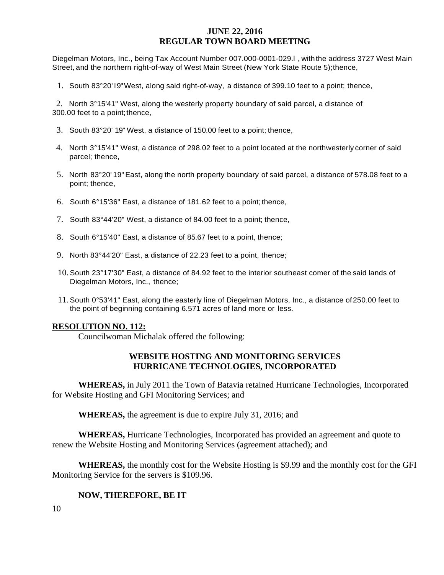Diegelman Motors, Inc., being Tax Account Number 007.000-0001-029.l , withthe address 3727 West Main Street, and the northern right-of-way of West Main Street (New York State Route 5);thence,

1. South 83°20' l9"West, along said right-of-way, a distance of 399.10 feet to a point; thence,

2. North 3°15'41" West, along the westerly property boundary of said parcel, a distance of 300.00 feet to a point; thence,

- 3. South 83°20' 19" West, a distance of 150.00 feet to a point; thence,
- 4. North 3°15'41" West, a distance of 298.02 feet to a point located at the northwesterly corner of said parcel; thence,
- 5. North 83°20' 19"East, along the north property boundary of said parcel, a distance of 578.08 feet to a point; thence,
- 6. South 6°15'36" East, a distance of 181.62 feet to a point; thence,
- 7. South 83°44'20" West, a distance of 84.00 feet to a point; thence,
- 8. South 6°15'40" East, a distance of 85.67 feet to a point, thence;
- 9. North 83°44'20" East, a distance of 22.23 feet to a point, thence;
- 10. South 23°17'30" East, a distance of 84.92 feet to the interior southeast comer of the said lands of Diegelman Motors, Inc., thence;
- 11.South 0°53'41" East, along the easterly line of Diegelman Motors, Inc., a distance of250.00 feet to the point of beginning containing 6.571 acres of land more or less.

#### **RESOLUTION NO. 112:**

Councilwoman Michalak offered the following:

## **WEBSITE HOSTING AND MONITORING SERVICES HURRICANE TECHNOLOGIES, INCORPORATED**

**WHEREAS,** in July 2011 the Town of Batavia retained Hurricane Technologies, Incorporated for Website Hosting and GFI Monitoring Services; and

**WHEREAS,** the agreement is due to expire July 31, 2016; and

**WHEREAS,** Hurricane Technologies, Incorporated has provided an agreement and quote to renew the Website Hosting and Monitoring Services (agreement attached); and

**WHEREAS,** the monthly cost for the Website Hosting is \$9.99 and the monthly cost for the GFI Monitoring Service for the servers is \$109.96.

#### **NOW, THEREFORE, BE IT**

10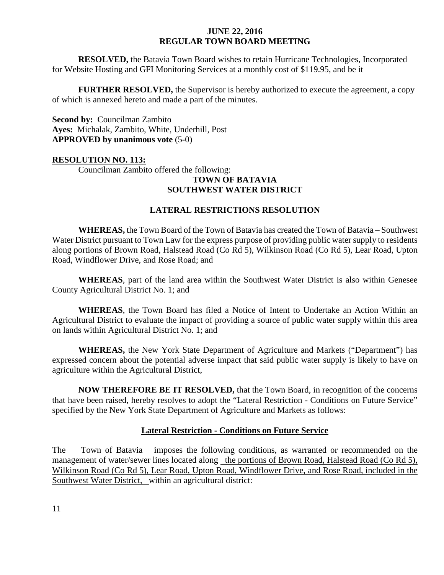**RESOLVED,** the Batavia Town Board wishes to retain Hurricane Technologies, Incorporated for Website Hosting and GFI Monitoring Services at a monthly cost of \$119.95, and be it

**FURTHER RESOLVED, the Supervisor is hereby authorized to execute the agreement, a copy** of which is annexed hereto and made a part of the minutes.

**Second by:** Councilman Zambito **Ayes:** Michalak, Zambito, White, Underhill, Post **APPROVED by unanimous vote** (5-0)

## **RESOLUTION NO. 113:**

Councilman Zambito offered the following:

#### **TOWN OF BATAVIA SOUTHWEST WATER DISTRICT**

## **LATERAL RESTRICTIONS RESOLUTION**

**WHEREAS,** the Town Board of the Town of Batavia has created the Town of Batavia – Southwest Water District pursuant to Town Law for the express purpose of providing public water supply to residents along portions of Brown Road, Halstead Road (Co Rd 5), Wilkinson Road (Co Rd 5), Lear Road, Upton Road, Windflower Drive, and Rose Road; and

**WHEREAS**, part of the land area within the Southwest Water District is also within Genesee County Agricultural District No. 1; and

**WHEREAS**, the Town Board has filed a Notice of Intent to Undertake an Action Within an Agricultural District to evaluate the impact of providing a source of public water supply within this area on lands within Agricultural District No. 1; and

**WHEREAS,** the New York State Department of Agriculture and Markets ("Department") has expressed concern about the potential adverse impact that said public water supply is likely to have on agriculture within the Agricultural District,

**NOW THEREFORE BE IT RESOLVED,** that the Town Board, in recognition of the concerns that have been raised, hereby resolves to adopt the "Lateral Restriction - Conditions on Future Service" specified by the New York State Department of Agriculture and Markets as follows:

## **Lateral Restriction - Conditions on Future Service**

The Town of Batavia imposes the following conditions, as warranted or recommended on the management of water/sewer lines located along the portions of Brown Road, Halstead Road (Co Rd 5), Wilkinson Road (Co Rd 5), Lear Road, Upton Road, Windflower Drive, and Rose Road, included in the Southwest Water District, within an agricultural district: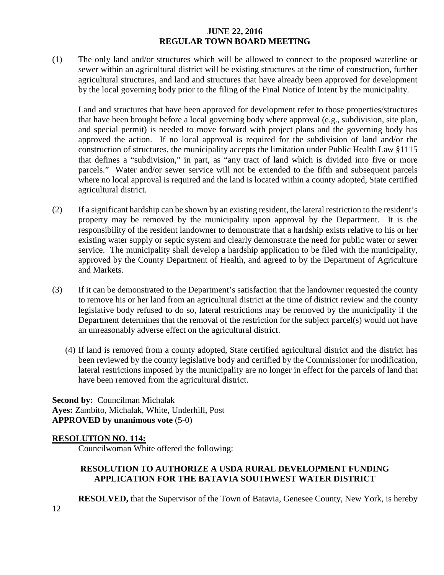(1) The only land and/or structures which will be allowed to connect to the proposed waterline or sewer within an agricultural district will be existing structures at the time of construction, further agricultural structures, and land and structures that have already been approved for development by the local governing body prior to the filing of the Final Notice of Intent by the municipality.

Land and structures that have been approved for development refer to those properties/structures that have been brought before a local governing body where approval (e.g., subdivision, site plan, and special permit) is needed to move forward with project plans and the governing body has approved the action. If no local approval is required for the subdivision of land and/or the construction of structures, the municipality accepts the limitation under Public Health Law §1115 that defines a "subdivision," in part, as "any tract of land which is divided into five or more parcels." Water and/or sewer service will not be extended to the fifth and subsequent parcels where no local approval is required and the land is located within a county adopted, State certified agricultural district.

- (2) If a significant hardship can be shown by an existing resident, the lateral restriction to the resident's property may be removed by the municipality upon approval by the Department. It is the responsibility of the resident landowner to demonstrate that a hardship exists relative to his or her existing water supply or septic system and clearly demonstrate the need for public water or sewer service. The municipality shall develop a hardship application to be filed with the municipality, approved by the County Department of Health, and agreed to by the Department of Agriculture and Markets.
- (3) If it can be demonstrated to the Department's satisfaction that the landowner requested the county to remove his or her land from an agricultural district at the time of district review and the county legislative body refused to do so, lateral restrictions may be removed by the municipality if the Department determines that the removal of the restriction for the subject parcel(s) would not have an unreasonably adverse effect on the agricultural district.
	- (4) If land is removed from a county adopted, State certified agricultural district and the district has been reviewed by the county legislative body and certified by the Commissioner for modification, lateral restrictions imposed by the municipality are no longer in effect for the parcels of land that have been removed from the agricultural district.

**Second by:** Councilman Michalak **Ayes:** Zambito, Michalak, White, Underhill, Post **APPROVED by unanimous vote** (5-0)

## **RESOLUTION NO. 114:**

Councilwoman White offered the following:

## **RESOLUTION TO AUTHORIZE A USDA RURAL DEVELOPMENT FUNDING APPLICATION FOR THE BATAVIA SOUTHWEST WATER DISTRICT**

**RESOLVED,** that the Supervisor of the Town of Batavia, Genesee County, New York, is hereby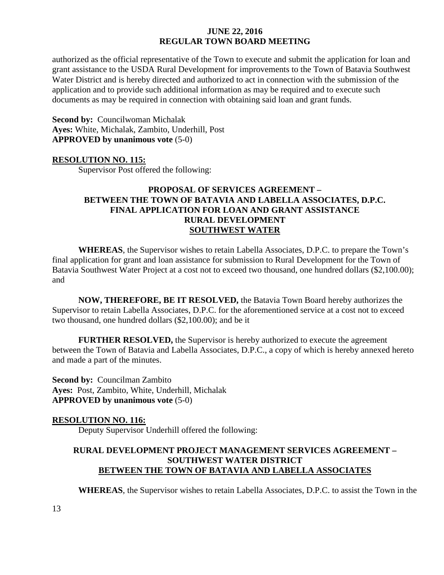authorized as the official representative of the Town to execute and submit the application for loan and grant assistance to the USDA Rural Development for improvements to the Town of Batavia Southwest Water District and is hereby directed and authorized to act in connection with the submission of the application and to provide such additional information as may be required and to execute such documents as may be required in connection with obtaining said loan and grant funds.

**Second by: Councilwoman Michalak Ayes:** White, Michalak, Zambito, Underhill, Post **APPROVED by unanimous vote** (5-0)

#### **RESOLUTION NO. 115:**

Supervisor Post offered the following:

# **PROPOSAL OF SERVICES AGREEMENT – BETWEEN THE TOWN OF BATAVIA AND LABELLA ASSOCIATES, D.P.C. FINAL APPLICATION FOR LOAN AND GRANT ASSISTANCE RURAL DEVELOPMENT SOUTHWEST WATER**

**WHEREAS**, the Supervisor wishes to retain Labella Associates, D.P.C. to prepare the Town's final application for grant and loan assistance for submission to Rural Development for the Town of Batavia Southwest Water Project at a cost not to exceed two thousand, one hundred dollars (\$2,100.00); and

**NOW, THEREFORE, BE IT RESOLVED,** the Batavia Town Board hereby authorizes the Supervisor to retain Labella Associates, D.P.C. for the aforementioned service at a cost not to exceed two thousand, one hundred dollars (\$2,100.00); and be it

**FURTHER RESOLVED,** the Supervisor is hereby authorized to execute the agreement between the Town of Batavia and Labella Associates, D.P.C., a copy of which is hereby annexed hereto and made a part of the minutes.

**Second by:** Councilman Zambito **Ayes:** Post, Zambito, White, Underhill, Michalak **APPROVED by unanimous vote** (5-0)

## **RESOLUTION NO. 116:**

Deputy Supervisor Underhill offered the following:

# **RURAL DEVELOPMENT PROJECT MANAGEMENT SERVICES AGREEMENT – SOUTHWEST WATER DISTRICT BETWEEN THE TOWN OF BATAVIA AND LABELLA ASSOCIATES**

**WHEREAS**, the Supervisor wishes to retain Labella Associates, D.P.C. to assist the Town in the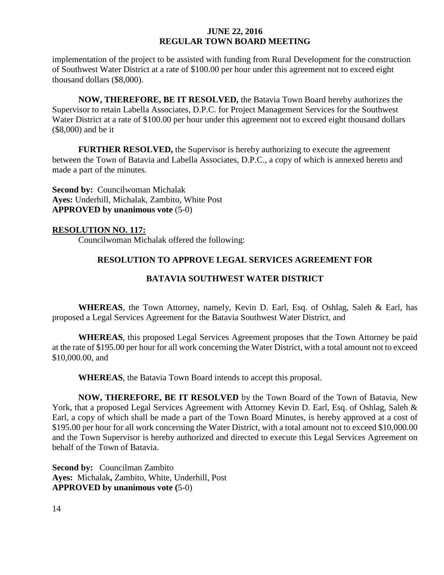implementation of the project to be assisted with funding from Rural Development for the construction of Southwest Water District at a rate of \$100.00 per hour under this agreement not to exceed eight thousand dollars (\$8,000).

**NOW, THEREFORE, BE IT RESOLVED,** the Batavia Town Board hereby authorizes the Supervisor to retain Labella Associates, D.P.C. for Project Management Services for the Southwest Water District at a rate of \$100.00 per hour under this agreement not to exceed eight thousand dollars (\$8,000) and be it

**FURTHER RESOLVED,** the Supervisor is hereby authorizing to execute the agreement between the Town of Batavia and Labella Associates, D.P.C., a copy of which is annexed hereto and made a part of the minutes.

**Second by:** Councilwoman Michalak **Ayes:** Underhill, Michalak, Zambito, White Post **APPROVED by unanimous vote** (5-0)

## **RESOLUTION NO. 117:**

Councilwoman Michalak offered the following:

## **RESOLUTION TO APPROVE LEGAL SERVICES AGREEMENT FOR**

## **BATAVIA SOUTHWEST WATER DISTRICT**

**WHEREAS**, the Town Attorney, namely, Kevin D. Earl, Esq. of Oshlag, Saleh & Earl, has proposed a Legal Services Agreement for the Batavia Southwest Water District, and

**WHEREAS**, this proposed Legal Services Agreement proposes that the Town Attorney be paid at the rate of \$195.00 per hour for all work concerning the Water District, with a total amount not to exceed \$10,000.00, and

**WHEREAS**, the Batavia Town Board intends to accept this proposal.

**NOW, THEREFORE, BE IT RESOLVED** by the Town Board of the Town of Batavia, New York, that a proposed Legal Services Agreement with Attorney Kevin D. Earl, Esq. of Oshlag, Saleh & Earl, a copy of which shall be made a part of the Town Board Minutes, is hereby approved at a cost of \$195.00 per hour for all work concerning the Water District, with a total amount not to exceed \$10,000.00 and the Town Supervisor is hereby authorized and directed to execute this Legal Services Agreement on behalf of the Town of Batavia.

**Second by:** Councilman Zambito **Ayes:** Michalak**,** Zambito, White, Underhill, Post **APPROVED by unanimous vote (**5-0)

14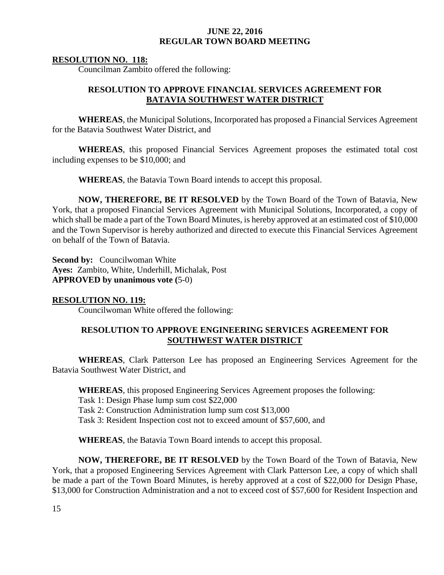#### **RESOLUTION NO. 118:**

Councilman Zambito offered the following:

## **RESOLUTION TO APPROVE FINANCIAL SERVICES AGREEMENT FOR BATAVIA SOUTHWEST WATER DISTRICT**

**WHEREAS**, the Municipal Solutions, Incorporated has proposed a Financial Services Agreement for the Batavia Southwest Water District, and

**WHEREAS**, this proposed Financial Services Agreement proposes the estimated total cost including expenses to be \$10,000; and

**WHEREAS**, the Batavia Town Board intends to accept this proposal.

**NOW, THEREFORE, BE IT RESOLVED** by the Town Board of the Town of Batavia, New York, that a proposed Financial Services Agreement with Municipal Solutions, Incorporated, a copy of which shall be made a part of the Town Board Minutes, is hereby approved at an estimated cost of \$10,000 and the Town Supervisor is hereby authorized and directed to execute this Financial Services Agreement on behalf of the Town of Batavia.

**Second by:** Councilwoman White **Ayes:** Zambito, White, Underhill, Michalak, Post **APPROVED by unanimous vote (**5-0)

## **RESOLUTION NO. 119:**

Councilwoman White offered the following:

## **RESOLUTION TO APPROVE ENGINEERING SERVICES AGREEMENT FOR SOUTHWEST WATER DISTRICT**

**WHEREAS**, Clark Patterson Lee has proposed an Engineering Services Agreement for the Batavia Southwest Water District, and

**WHEREAS**, this proposed Engineering Services Agreement proposes the following: Task 1: Design Phase lump sum cost \$22,000 Task 2: Construction Administration lump sum cost \$13,000 Task 3: Resident Inspection cost not to exceed amount of \$57,600, and

**WHEREAS**, the Batavia Town Board intends to accept this proposal.

**NOW, THEREFORE, BE IT RESOLVED** by the Town Board of the Town of Batavia, New York, that a proposed Engineering Services Agreement with Clark Patterson Lee, a copy of which shall be made a part of the Town Board Minutes, is hereby approved at a cost of \$22,000 for Design Phase, \$13,000 for Construction Administration and a not to exceed cost of \$57,600 for Resident Inspection and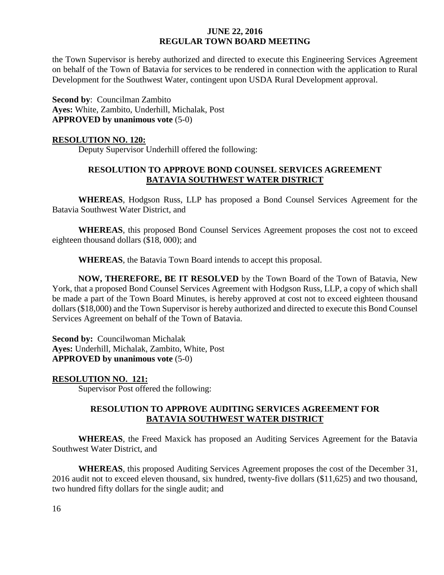the Town Supervisor is hereby authorized and directed to execute this Engineering Services Agreement on behalf of the Town of Batavia for services to be rendered in connection with the application to Rural Development for the Southwest Water, contingent upon USDA Rural Development approval.

**Second by**: Councilman Zambito **Ayes:** White, Zambito, Underhill, Michalak, Post **APPROVED by unanimous vote** (5-0)

#### **RESOLUTION NO. 120:**

Deputy Supervisor Underhill offered the following:

# **RESOLUTION TO APPROVE BOND COUNSEL SERVICES AGREEMENT BATAVIA SOUTHWEST WATER DISTRICT**

**WHEREAS**, Hodgson Russ, LLP has proposed a Bond Counsel Services Agreement for the Batavia Southwest Water District, and

**WHEREAS**, this proposed Bond Counsel Services Agreement proposes the cost not to exceed eighteen thousand dollars (\$18, 000); and

**WHEREAS**, the Batavia Town Board intends to accept this proposal.

**NOW, THEREFORE, BE IT RESOLVED** by the Town Board of the Town of Batavia, New York, that a proposed Bond Counsel Services Agreement with Hodgson Russ, LLP, a copy of which shall be made a part of the Town Board Minutes, is hereby approved at cost not to exceed eighteen thousand dollars (\$18,000) and the Town Supervisor is hereby authorized and directed to execute this Bond Counsel Services Agreement on behalf of the Town of Batavia.

**Second by:** Councilwoman Michalak **Ayes:** Underhill, Michalak, Zambito, White, Post **APPROVED by unanimous vote** (5-0)

**RESOLUTION NO. 121:**

Supervisor Post offered the following:

## **RESOLUTION TO APPROVE AUDITING SERVICES AGREEMENT FOR BATAVIA SOUTHWEST WATER DISTRICT**

**WHEREAS**, the Freed Maxick has proposed an Auditing Services Agreement for the Batavia Southwest Water District, and

**WHEREAS**, this proposed Auditing Services Agreement proposes the cost of the December 31, 2016 audit not to exceed eleven thousand, six hundred, twenty-five dollars (\$11,625) and two thousand, two hundred fifty dollars for the single audit; and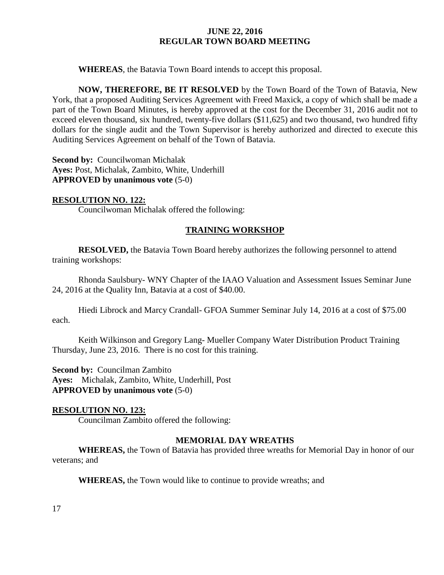**WHEREAS**, the Batavia Town Board intends to accept this proposal.

**NOW, THEREFORE, BE IT RESOLVED** by the Town Board of the Town of Batavia, New York, that a proposed Auditing Services Agreement with Freed Maxick, a copy of which shall be made a part of the Town Board Minutes, is hereby approved at the cost for the December 31, 2016 audit not to exceed eleven thousand, six hundred, twenty-five dollars (\$11,625) and two thousand, two hundred fifty dollars for the single audit and the Town Supervisor is hereby authorized and directed to execute this Auditing Services Agreement on behalf of the Town of Batavia.

**Second by: Councilwoman Michalak Ayes:** Post, Michalak, Zambito, White, Underhill **APPROVED by unanimous vote** (5-0)

## **RESOLUTION NO. 122:**

Councilwoman Michalak offered the following:

## **TRAINING WORKSHOP**

**RESOLVED,** the Batavia Town Board hereby authorizes the following personnel to attend training workshops:

Rhonda Saulsbury- WNY Chapter of the IAAO Valuation and Assessment Issues Seminar June 24, 2016 at the Quality Inn, Batavia at a cost of \$40.00.

Hiedi Librock and Marcy Crandall- GFOA Summer Seminar July 14, 2016 at a cost of \$75.00 each.

Keith Wilkinson and Gregory Lang- Mueller Company Water Distribution Product Training Thursday, June 23, 2016. There is no cost for this training.

**Second by:** Councilman Zambito **Ayes:** Michalak, Zambito, White, Underhill, Post **APPROVED by unanimous vote** (5-0)

## **RESOLUTION NO. 123:**

Councilman Zambito offered the following:

#### **MEMORIAL DAY WREATHS**

**WHEREAS,** the Town of Batavia has provided three wreaths for Memorial Day in honor of our veterans; and

**WHEREAS,** the Town would like to continue to provide wreaths; and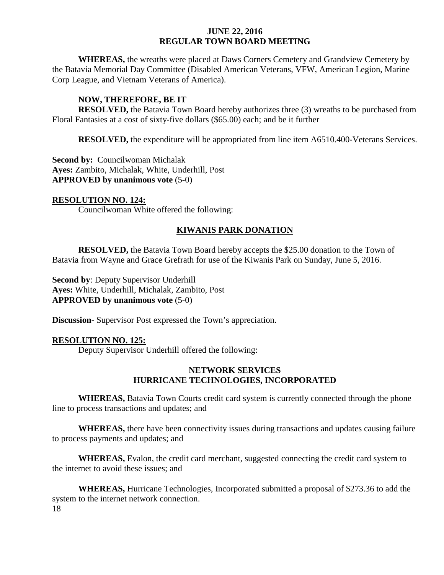**WHEREAS,** the wreaths were placed at Daws Corners Cemetery and Grandview Cemetery by the Batavia Memorial Day Committee (Disabled American Veterans, VFW, American Legion, Marine Corp League, and Vietnam Veterans of America).

## **NOW, THEREFORE, BE IT**

**RESOLVED,** the Batavia Town Board hereby authorizes three (3) wreaths to be purchased from Floral Fantasies at a cost of sixty-five dollars (\$65.00) each; and be it further

**RESOLVED,** the expenditure will be appropriated from line item A6510.400-Veterans Services.

**Second by:** Councilwoman Michalak **Ayes:** Zambito, Michalak, White, Underhill, Post **APPROVED by unanimous vote** (5-0)

#### **RESOLUTION NO. 124:**

Councilwoman White offered the following:

## **KIWANIS PARK DONATION**

**RESOLVED,** the Batavia Town Board hereby accepts the \$25.00 donation to the Town of Batavia from Wayne and Grace Grefrath for use of the Kiwanis Park on Sunday, June 5, 2016.

**Second by**: Deputy Supervisor Underhill **Ayes:** White, Underhill, Michalak, Zambito, Post **APPROVED by unanimous vote** (5-0)

**Discussion-** Supervisor Post expressed the Town's appreciation.

## **RESOLUTION NO. 125:**

Deputy Supervisor Underhill offered the following:

## **NETWORK SERVICES HURRICANE TECHNOLOGIES, INCORPORATED**

**WHEREAS,** Batavia Town Courts credit card system is currently connected through the phone line to process transactions and updates; and

**WHEREAS,** there have been connectivity issues during transactions and updates causing failure to process payments and updates; and

**WHEREAS,** Evalon, the credit card merchant, suggested connecting the credit card system to the internet to avoid these issues; and

18 **WHEREAS,** Hurricane Technologies, Incorporated submitted a proposal of \$273.36 to add the system to the internet network connection.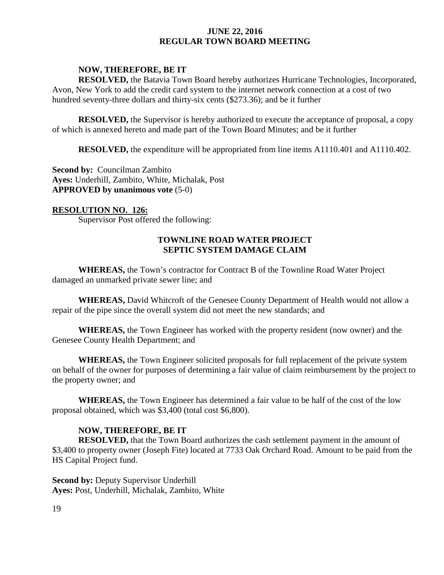#### **NOW, THEREFORE, BE IT**

**RESOLVED,** the Batavia Town Board hereby authorizes Hurricane Technologies, Incorporated, Avon, New York to add the credit card system to the internet network connection at a cost of two hundred seventy-three dollars and thirty-six cents (\$273.36); and be it further

**RESOLVED,** the Supervisor is hereby authorized to execute the acceptance of proposal, a copy of which is annexed hereto and made part of the Town Board Minutes; and be it further

**RESOLVED,** the expenditure will be appropriated from line items A1110.401 and A1110.402.

**Second by: Councilman Zambito Ayes:** Underhill, Zambito, White, Michalak, Post **APPROVED by unanimous vote** (5-0)

#### **RESOLUTION NO. 126:**

Supervisor Post offered the following:

# **TOWNLINE ROAD WATER PROJECT SEPTIC SYSTEM DAMAGE CLAIM**

**WHEREAS,** the Town's contractor for Contract B of the Townline Road Water Project damaged an unmarked private sewer line; and

**WHEREAS,** David Whitcroft of the Genesee County Department of Health would not allow a repair of the pipe since the overall system did not meet the new standards; and

**WHEREAS,** the Town Engineer has worked with the property resident (now owner) and the Genesee County Health Department; and

**WHEREAS,** the Town Engineer solicited proposals for full replacement of the private system on behalf of the owner for purposes of determining a fair value of claim reimbursement by the project to the property owner; and

**WHEREAS,** the Town Engineer has determined a fair value to be half of the cost of the low proposal obtained, which was \$3,400 (total cost \$6,800).

## **NOW, THEREFORE, BE IT**

**RESOLVED,** that the Town Board authorizes the cash settlement payment in the amount of \$3,400 to property owner (Joseph Fite) located at 7733 Oak Orchard Road. Amount to be paid from the HS Capital Project fund.

**Second by: Deputy Supervisor Underhill Ayes:** Post, Underhill, Michalak, Zambito, White

19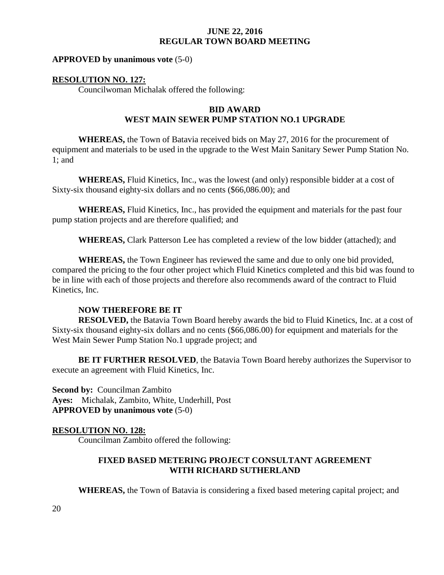#### **APPROVED by unanimous vote** (5-0)

#### **RESOLUTION NO. 127:**

Councilwoman Michalak offered the following:

### **BID AWARD WEST MAIN SEWER PUMP STATION NO.1 UPGRADE**

**WHEREAS,** the Town of Batavia received bids on May 27, 2016 for the procurement of equipment and materials to be used in the upgrade to the West Main Sanitary Sewer Pump Station No. 1; and

**WHEREAS,** Fluid Kinetics, Inc., was the lowest (and only) responsible bidder at a cost of Sixty-six thousand eighty-six dollars and no cents (\$66,086.00); and

**WHEREAS,** Fluid Kinetics, Inc., has provided the equipment and materials for the past four pump station projects and are therefore qualified; and

**WHEREAS,** Clark Patterson Lee has completed a review of the low bidder (attached); and

**WHEREAS,** the Town Engineer has reviewed the same and due to only one bid provided, compared the pricing to the four other project which Fluid Kinetics completed and this bid was found to be in line with each of those projects and therefore also recommends award of the contract to Fluid Kinetics, Inc.

#### **NOW THEREFORE BE IT**

**RESOLVED,** the Batavia Town Board hereby awards the bid to Fluid Kinetics, Inc. at a cost of Sixty-six thousand eighty-six dollars and no cents (\$66,086.00) for equipment and materials for the West Main Sewer Pump Station No.1 upgrade project; and

**BE IT FURTHER RESOLVED**, the Batavia Town Board hereby authorizes the Supervisor to execute an agreement with Fluid Kinetics, Inc.

**Second by: Councilman Zambito Ayes:** Michalak, Zambito, White, Underhill, Post **APPROVED by unanimous vote** (5-0)

#### **RESOLUTION NO. 128:**

Councilman Zambito offered the following:

### **FIXED BASED METERING PROJECT CONSULTANT AGREEMENT WITH RICHARD SUTHERLAND**

**WHEREAS,** the Town of Batavia is considering a fixed based metering capital project; and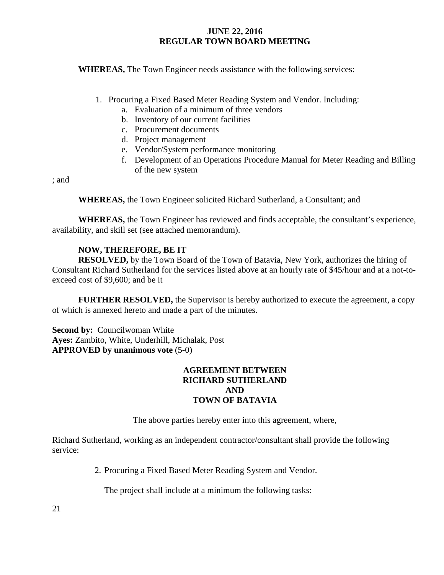**WHEREAS,** The Town Engineer needs assistance with the following services:

- 1. Procuring a Fixed Based Meter Reading System and Vendor. Including:
	- a. Evaluation of a minimum of three vendors
	- b. Inventory of our current facilities
	- c. Procurement documents
	- d. Project management
	- e. Vendor/System performance monitoring
	- f. Development of an Operations Procedure Manual for Meter Reading and Billing of the new system

; and

**WHEREAS,** the Town Engineer solicited Richard Sutherland, a Consultant; and

**WHEREAS,** the Town Engineer has reviewed and finds acceptable, the consultant's experience, availability, and skill set (see attached memorandum).

## **NOW, THEREFORE, BE IT**

**RESOLVED,** by the Town Board of the Town of Batavia, New York, authorizes the hiring of Consultant Richard Sutherland for the services listed above at an hourly rate of \$45/hour and at a not-toexceed cost of \$9,600; and be it

**FURTHER RESOLVED,** the Supervisor is hereby authorized to execute the agreement, a copy of which is annexed hereto and made a part of the minutes.

**Second by: Councilwoman White Ayes:** Zambito, White, Underhill, Michalak, Post **APPROVED by unanimous vote** (5-0)

#### **AGREEMENT BETWEEN RICHARD SUTHERLAND AND TOWN OF BATAVIA**

The above parties hereby enter into this agreement, where,

Richard Sutherland, working as an independent contractor/consultant shall provide the following service:

2. Procuring a Fixed Based Meter Reading System and Vendor.

The project shall include at a minimum the following tasks: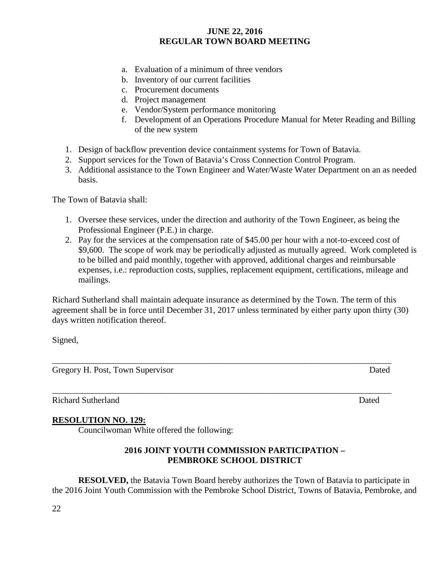- a. Evaluation of a minimum of three vendors
- b. Inventory of our current facilities
- c. Procurement documents
- d. Project management
- e. Vendor/System performance monitoring
- f. Development of an Operations Procedure Manual for Meter Reading and Billing of the new system
- 1. Design of backflow prevention device containment systems for Town of Batavia.
- 2. Support services for the Town of Batavia's Cross Connection Control Program.
- 3. Additional assistance to the Town Engineer and Water/Waste Water Department on an as needed basis.

The Town of Batavia shall:

- 1. Oversee these services, under the direction and authority of the Town Engineer, as being the Professional Engineer (P.E.) in charge.
- 2. Pay for the services at the compensation rate of \$45.00 per hour with a not-to-exceed cost of \$9,600. The scope of work may be periodically adjusted as mutually agreed. Work completed is to be billed and paid monthly, together with approved, additional charges and reimbursable expenses, i.e.: reproduction costs, supplies, replacement equipment, certifications, mileage and mailings.

Richard Sutherland shall maintain adequate insurance as determined by the Town. The term of this agreement shall be in force until December 31, 2017 unless terminated by either party upon thirty (30) days written notification thereof.

\_\_\_\_\_\_\_\_\_\_\_\_\_\_\_\_\_\_\_\_\_\_\_\_\_\_\_\_\_\_\_\_\_\_\_\_\_\_\_\_\_\_\_\_\_\_\_\_\_\_\_\_\_\_\_\_\_\_\_\_\_\_\_\_\_\_\_\_\_\_\_\_\_\_\_\_\_\_

Signed,

Gregory H. Post, Town Supervisor Dated

\_\_\_\_\_\_\_\_\_\_\_\_\_\_\_\_\_\_\_\_\_\_\_\_\_\_\_\_\_\_\_\_\_\_\_\_\_\_\_\_\_\_\_\_\_\_\_\_\_\_\_\_\_\_\_\_\_\_\_\_\_\_\_\_\_\_\_\_\_\_\_\_\_\_\_\_\_\_

# Richard Sutherland Dated

## **RESOLUTION NO. 129:**

Councilwoman White offered the following:

## **2016 JOINT YOUTH COMMISSION PARTICIPATION – PEMBROKE SCHOOL DISTRICT**

**RESOLVED,** the Batavia Town Board hereby authorizes the Town of Batavia to participate in the 2016 Joint Youth Commission with the Pembroke School District, Towns of Batavia, Pembroke, and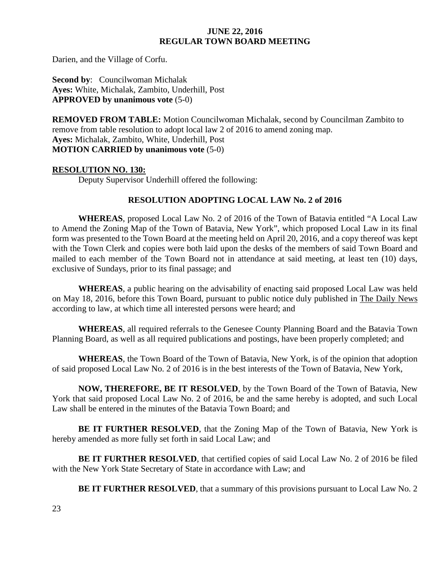Darien, and the Village of Corfu.

**Second by**: Councilwoman Michalak **Ayes:** White, Michalak, Zambito, Underhill, Post **APPROVED by unanimous vote** (5-0)

**REMOVED FROM TABLE:** Motion Councilwoman Michalak, second by Councilman Zambito to remove from table resolution to adopt local law 2 of 2016 to amend zoning map. **Ayes:** Michalak, Zambito, White, Underhill, Post **MOTION CARRIED by unanimous vote** (5-0)

## **RESOLUTION NO. 130:**

Deputy Supervisor Underhill offered the following:

## **RESOLUTION ADOPTING LOCAL LAW No. 2 of 2016**

**WHEREAS**, proposed Local Law No. 2 of 2016 of the Town of Batavia entitled "A Local Law to Amend the Zoning Map of the Town of Batavia, New York", which proposed Local Law in its final form was presented to the Town Board at the meeting held on April 20, 2016, and a copy thereof was kept with the Town Clerk and copies were both laid upon the desks of the members of said Town Board and mailed to each member of the Town Board not in attendance at said meeting, at least ten (10) days, exclusive of Sundays, prior to its final passage; and

**WHEREAS**, a public hearing on the advisability of enacting said proposed Local Law was held on May 18, 2016, before this Town Board, pursuant to public notice duly published in The Daily News according to law, at which time all interested persons were heard; and

**WHEREAS**, all required referrals to the Genesee County Planning Board and the Batavia Town Planning Board, as well as all required publications and postings, have been properly completed; and

**WHEREAS**, the Town Board of the Town of Batavia, New York, is of the opinion that adoption of said proposed Local Law No. 2 of 2016 is in the best interests of the Town of Batavia, New York,

**NOW, THEREFORE, BE IT RESOLVED**, by the Town Board of the Town of Batavia, New York that said proposed Local Law No. 2 of 2016, be and the same hereby is adopted, and such Local Law shall be entered in the minutes of the Batavia Town Board; and

**BE IT FURTHER RESOLVED**, that the Zoning Map of the Town of Batavia, New York is hereby amended as more fully set forth in said Local Law; and

**BE IT FURTHER RESOLVED**, that certified copies of said Local Law No. 2 of 2016 be filed with the New York State Secretary of State in accordance with Law; and

**BE IT FURTHER RESOLVED, that a summary of this provisions pursuant to Local Law No. 2**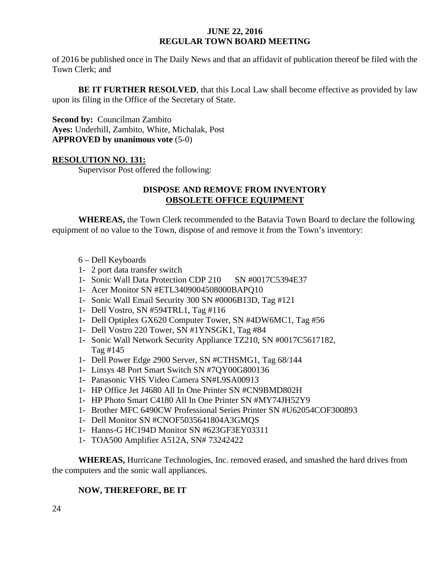of 2016 be published once in The Daily News and that an affidavit of publication thereof be filed with the Town Clerk; and

**BE IT FURTHER RESOLVED,** that this Local Law shall become effective as provided by law upon its filing in the Office of the Secretary of State.

**Second by:** Councilman Zambito **Ayes:** Underhill, Zambito, White, Michalak, Post **APPROVED by unanimous vote** (5-0)

## **RESOLUTION NO. 131:**

Supervisor Post offered the following:

## **DISPOSE AND REMOVE FROM INVENTORY OBSOLETE OFFICE EQUIPMENT**

**WHEREAS,** the Town Clerk recommended to the Batavia Town Board to declare the following equipment of no value to the Town, dispose of and remove it from the Town's inventory:

- 6 Dell Keyboards
- 1- 2 port data transfer switch
- 1- Sonic Wall Data Protection CDP 210 SN #0017C5394E37
- 1- Acer Monitor SN #ETL3409004508000BAPQ10
- 1- Sonic Wall Email Security 300 SN #0006B13D, Tag #121
- 1- Dell Vostro, SN #594TRL1, Tag #116
- 1- Dell Optiplex GX620 Computer Tower, SN #4DW6MC1, Tag #56
- 1- Dell Vostro 220 Tower, SN #1YNSGK1, Tag #84
- 1- Sonic Wall Network Security Appliance TZ210, SN #0017C5617182, Tag #145
- 1- Dell Power Edge 2900 Server, SN #CTHSMG1, Tag 68/144
- 1- Linsys 48 Port Smart Switch SN #7QY00G800136
- 1- Panasonic VHS Video Camera SN#L9SA00913
- 1- HP Office Jet J4680 All In One Printer SN #CN9BMD802H
- 1- HP Photo Smart C4180 All In One Printer SN #MY74JH52Y9
- 1- Brother MFC 6490CW Professional Series Printer SN #U62054COF300893
- 1- Dell Monitor SN #CNOF5035641804A3GMQS
- 1- Hanns-G HC194D Monitor SN #623GF3EY03311
- 1- TOA500 Amplifier A512A, SN# 73242422

**WHEREAS,** Hurricane Technologies, Inc. removed erased, and smashed the hard drives from the computers and the sonic wall appliances.

## **NOW, THEREFORE, BE IT**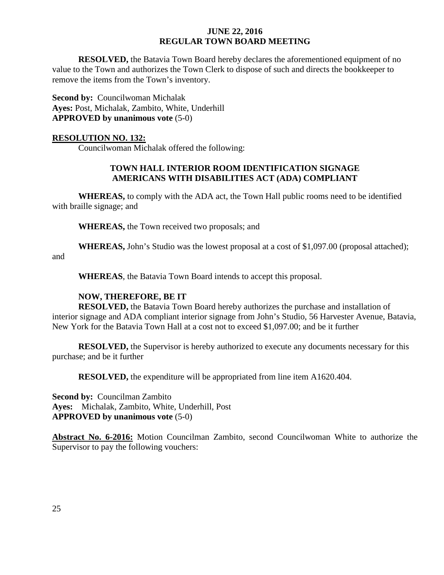**RESOLVED,** the Batavia Town Board hereby declares the aforementioned equipment of no value to the Town and authorizes the Town Clerk to dispose of such and directs the bookkeeper to remove the items from the Town's inventory.

**Second by: Councilwoman Michalak Ayes:** Post, Michalak, Zambito, White, Underhill **APPROVED by unanimous vote** (5-0)

#### **RESOLUTION NO. 132:**

Councilwoman Michalak offered the following:

## **TOWN HALL INTERIOR ROOM IDENTIFICATION SIGNAGE AMERICANS WITH DISABILITIES ACT (ADA) COMPLIANT**

**WHEREAS,** to comply with the ADA act, the Town Hall public rooms need to be identified with braille signage; and

**WHEREAS,** the Town received two proposals; and

**WHEREAS,** John's Studio was the lowest proposal at a cost of \$1,097.00 (proposal attached); and

**WHEREAS**, the Batavia Town Board intends to accept this proposal.

## **NOW, THEREFORE, BE IT**

**RESOLVED,** the Batavia Town Board hereby authorizes the purchase and installation of interior signage and ADA compliant interior signage from John's Studio, 56 Harvester Avenue, Batavia, New York for the Batavia Town Hall at a cost not to exceed \$1,097.00; and be it further

**RESOLVED,** the Supervisor is hereby authorized to execute any documents necessary for this purchase; and be it further

**RESOLVED,** the expenditure will be appropriated from line item A1620.404.

**Second by:** Councilman Zambito **Ayes:** Michalak, Zambito, White, Underhill, Post **APPROVED by unanimous vote** (5-0)

**Abstract No. 6-2016:** Motion Councilman Zambito, second Councilwoman White to authorize the Supervisor to pay the following vouchers: